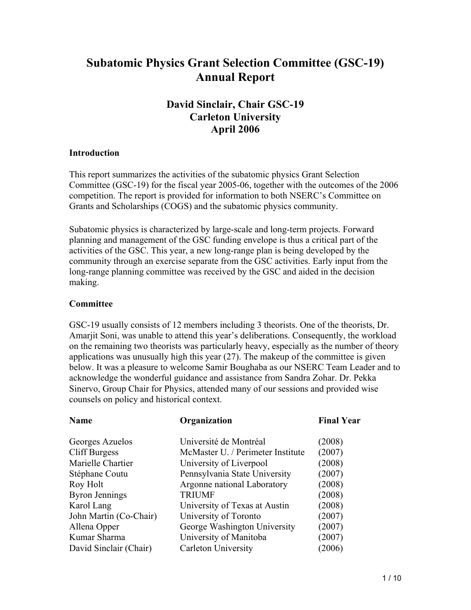# **Subatomic Physics Grant Selection Committee (GSC-19) Annual Report**

## **David Sinclair, Chair GSC-19 Carleton University April 2006**

#### **Introduction**

This report summarizes the activities of the subatomic physics Grant Selection Committee (GSC-19) for the fiscal year 2005-06, together with the outcomes of the 2006 competition. The report is provided for information to both NSERC's Committee on Grants and Scholarships (COGS) and the subatomic physics community.

Subatomic physics is characterized by large-scale and long-term projects. Forward planning and management of the GSC funding envelope is thus a critical part of the activities of the GSC. This year, a new long-range plan is being developed by the community through an exercise separate from the GSC activities. Early input from the long-range planning committee was received by the GSC and aided in the decision making.

#### **Committee**

GSC-19 usually consists of 12 members including 3 theorists. One of the theorists, Dr. Amarjit Soni, was unable to attend this year's deliberations. Consequently, the workload on the remaining two theorists was particularly heavy, especially as the number of theory applications was unusually high this year (27). The makeup of the committee is given below. It was a pleasure to welcome Samir Boughaba as our NSERC Team Leader and to acknowledge the wonderful guidance and assistance from Sandra Zohar. Dr. Pekka Sinervo, Group Chair for Physics, attended many of our sessions and provided wise counsels on policy and historical context.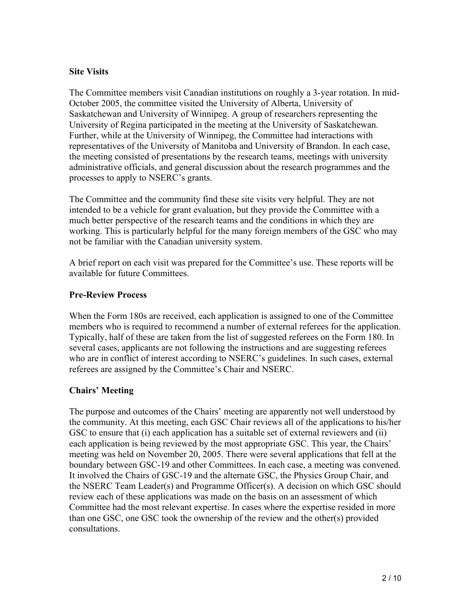## **Site Visits**

The Committee members visit Canadian institutions on roughly a 3-year rotation. In mid-October 2005, the committee visited the University of Alberta, University of Saskatchewan and University of Winnipeg. A group of researchers representing the University of Regina participated in the meeting at the University of Saskatchewan. Further, while at the University of Winnipeg, the Committee had interactions with representatives of the University of Manitoba and University of Brandon. In each case, the meeting consisted of presentations by the research teams, meetings with university administrative officials, and general discussion about the research programmes and the processes to apply to NSERC's grants.

The Committee and the community find these site visits very helpful. They are not intended to be a vehicle for grant evaluation, but they provide the Committee with a much better perspective of the research teams and the conditions in which they are working. This is particularly helpful for the many foreign members of the GSC who may not be familiar with the Canadian university system.

A brief report on each visit was prepared for the Committee's use. These reports will be available for future Committees.

## **Pre-Review Process**

When the Form 180s are received, each application is assigned to one of the Committee members who is required to recommend a number of external referees for the application. Typically, half of these are taken from the list of suggested referees on the Form 180. In several cases, applicants are not following the instructions and are suggesting referees who are in conflict of interest according to NSERC's guidelines. In such cases, external referees are assigned by the Committee's Chair and NSERC.

## **Chairs' Meeting**

The purpose and outcomes of the Chairs' meeting are apparently not well understood by the community. At this meeting, each GSC Chair reviews all of the applications to his/her GSC to ensure that (i) each application has a suitable set of external reviewers and (ii) each application is being reviewed by the most appropriate GSC. This year, the Chairs' meeting was held on November 20, 2005. There were several applications that fell at the boundary between GSC-19 and other Committees. In each case, a meeting was convened. It involved the Chairs of GSC-19 and the alternate GSC, the Physics Group Chair, and the NSERC Team Leader(s) and Programme Officer(s). A decision on which GSC should review each of these applications was made on the basis on an assessment of which Committee had the most relevant expertise. In cases where the expertise resided in more than one GSC, one GSC took the ownership of the review and the other(s) provided consultations.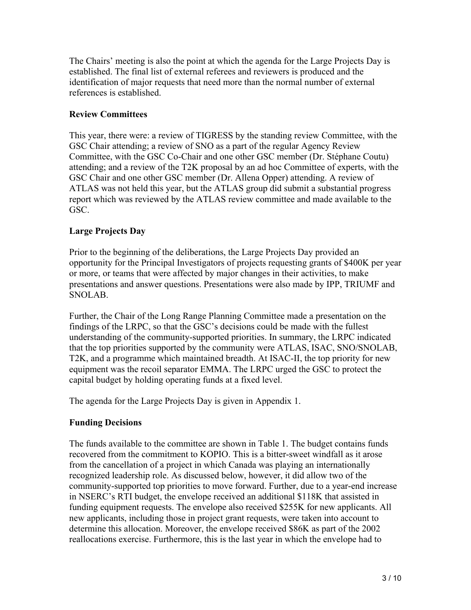The Chairs' meeting is also the point at which the agenda for the Large Projects Day is established. The final list of external referees and reviewers is produced and the identification of major requests that need more than the normal number of external references is established.

## **Review Committees**

This year, there were: a review of TIGRESS by the standing review Committee, with the GSC Chair attending; a review of SNO as a part of the regular Agency Review Committee, with the GSC Co-Chair and one other GSC member (Dr. Stéphane Coutu) attending; and a review of the T2K proposal by an ad hoc Committee of experts, with the GSC Chair and one other GSC member (Dr. Allena Opper) attending. A review of ATLAS was not held this year, but the ATLAS group did submit a substantial progress report which was reviewed by the ATLAS review committee and made available to the GSC.

## **Large Projects Day**

Prior to the beginning of the deliberations, the Large Projects Day provided an opportunity for the Principal Investigators of projects requesting grants of \$400K per year or more, or teams that were affected by major changes in their activities, to make presentations and answer questions. Presentations were also made by IPP, TRIUMF and SNOLAB.

Further, the Chair of the Long Range Planning Committee made a presentation on the findings of the LRPC, so that the GSC's decisions could be made with the fullest understanding of the community-supported priorities. In summary, the LRPC indicated that the top priorities supported by the community were ATLAS, ISAC, SNO/SNOLAB, T2K, and a programme which maintained breadth. At ISAC-II, the top priority for new equipment was the recoil separator EMMA. The LRPC urged the GSC to protect the capital budget by holding operating funds at a fixed level.

The agenda for the Large Projects Day is given in Appendix 1.

## **Funding Decisions**

The funds available to the committee are shown in Table 1. The budget contains funds recovered from the commitment to KOPIO. This is a bitter-sweet windfall as it arose from the cancellation of a project in which Canada was playing an internationally recognized leadership role. As discussed below, however, it did allow two of the community-supported top priorities to move forward. Further, due to a year-end increase in NSERC's RTI budget, the envelope received an additional \$118K that assisted in funding equipment requests. The envelope also received \$255K for new applicants. All new applicants, including those in project grant requests, were taken into account to determine this allocation. Moreover, the envelope received \$86K as part of the 2002 reallocations exercise. Furthermore, this is the last year in which the envelope had to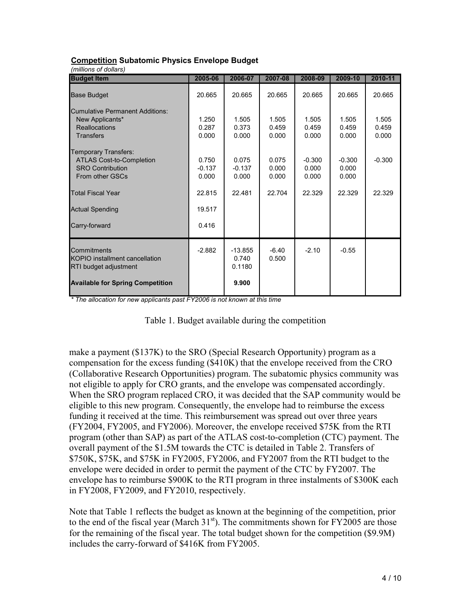| 2005-06                    | 2006-07                               | 2007-08                 | 2008-09                    | 2009-10                    | 2010-11                 |
|----------------------------|---------------------------------------|-------------------------|----------------------------|----------------------------|-------------------------|
| 20.665                     | 20.665                                | 20.665                  | 20.665                     | 20.665                     | 20.665                  |
| 1.250<br>0.287<br>0.000    | 1.505<br>0.373<br>0.000               | 1.505<br>0.459<br>0.000 | 1.505<br>0.459<br>0.000    | 1.505<br>0.459<br>0.000    | 1.505<br>0.459<br>0.000 |
| 0.750<br>$-0.137$<br>0.000 | 0.075<br>$-0.137$<br>0.000            | 0.075<br>0.000<br>0.000 | $-0.300$<br>0.000<br>0.000 | $-0.300$<br>0.000<br>0.000 | $-0.300$                |
| 22.815                     | 22.481                                | 22.704                  | 22.329                     | 22.329                     | 22.329                  |
| 19.517                     |                                       |                         |                            |                            |                         |
| 0.416                      |                                       |                         |                            |                            |                         |
| $-2.882$                   | $-13.855$<br>0.740<br>0.1180<br>9.900 | $-6.40$<br>0.500        | $-2.10$                    | $-0.55$                    |                         |
|                            |                                       |                         |                            |                            |                         |

#### **Competition Subatomic Physics Envelope Budget**

*\* The allocation for new applicants past FY2006 is not known at this time*

|  | Table 1. Budget available during the competition |  |  |
|--|--------------------------------------------------|--|--|
|  |                                                  |  |  |

make a payment (\$137K) to the SRO (Special Research Opportunity) program as a compensation for the excess funding (\$410K) that the envelope received from the CRO (Collaborative Research Opportunities) program. The subatomic physics community was not eligible to apply for CRO grants, and the envelope was compensated accordingly. When the SRO program replaced CRO, it was decided that the SAP community would be eligible to this new program. Consequently, the envelope had to reimburse the excess funding it received at the time. This reimbursement was spread out over three years (FY2004, FY2005, and FY2006). Moreover, the envelope received \$75K from the RTI program (other than SAP) as part of the ATLAS cost-to-completion (CTC) payment. The overall payment of the \$1.5M towards the CTC is detailed in Table 2. Transfers of \$750K, \$75K, and \$75K in FY2005, FY2006, and FY2007 from the RTI budget to the envelope were decided in order to permit the payment of the CTC by FY2007. The envelope has to reimburse \$900K to the RTI program in three instalments of \$300K each in FY2008, FY2009, and FY2010, respectively.

Note that Table 1 reflects the budget as known at the beginning of the competition, prior to the end of the fiscal year (March  $31<sup>st</sup>$ ). The commitments shown for FY2005 are those for the remaining of the fiscal year. The total budget shown for the competition (\$9.9M) includes the carry-forward of \$416K from FY2005.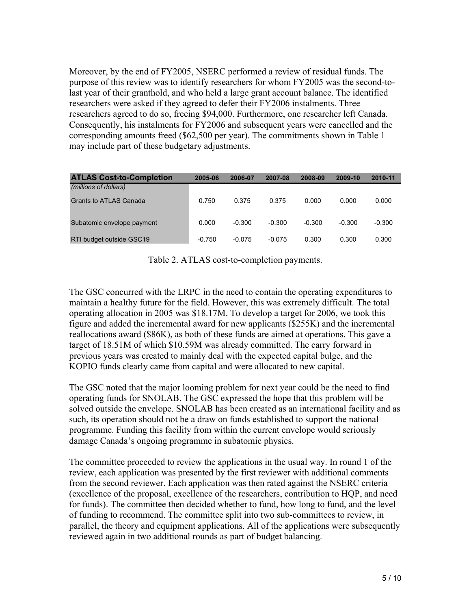Moreover, by the end of FY2005, NSERC performed a review of residual funds. The purpose of this review was to identify researchers for whom FY2005 was the second-tolast year of their granthold, and who held a large grant account balance. The identified researchers were asked if they agreed to defer their FY2006 instalments. Three researchers agreed to do so, freeing \$94,000. Furthermore, one researcher left Canada. Consequently, his instalments for FY2006 and subsequent years were cancelled and the corresponding amounts freed (\$62,500 per year). The commitments shown in Table 1 may include part of these budgetary adjustments.

| <b>ATLAS Cost-to-Completion</b> | 2005-06  | 2006-07  | 2007-08  | 2008-09  | 2009-10  | 2010-11  |
|---------------------------------|----------|----------|----------|----------|----------|----------|
| (millions of dollars)           |          |          |          |          |          |          |
| <b>Grants to ATLAS Canada</b>   | 0.750    | 0.375    | 0.375    | 0.000    | 0.000    | 0.000    |
|                                 |          |          |          |          |          |          |
| Subatomic envelope payment      | 0.000    | $-0.300$ | $-0.300$ | $-0.300$ | $-0.300$ | $-0.300$ |
| RTI budget outside GSC19        | $-0.750$ | $-0.075$ | $-0.075$ | 0.300    | 0.300    | 0.300    |
|                                 |          |          |          |          |          |          |

Table 2. ATLAS cost-to-completion payments.

The GSC concurred with the LRPC in the need to contain the operating expenditures to maintain a healthy future for the field. However, this was extremely difficult. The total operating allocation in 2005 was \$18.17M. To develop a target for 2006, we took this figure and added the incremental award for new applicants (\$255K) and the incremental reallocations award (\$86K), as both of these funds are aimed at operations. This gave a target of 18.51M of which \$10.59M was already committed. The carry forward in previous years was created to mainly deal with the expected capital bulge, and the KOPIO funds clearly came from capital and were allocated to new capital.

The GSC noted that the major looming problem for next year could be the need to find operating funds for SNOLAB. The GSC expressed the hope that this problem will be solved outside the envelope. SNOLAB has been created as an international facility and as such, its operation should not be a draw on funds established to support the national programme. Funding this facility from within the current envelope would seriously damage Canada's ongoing programme in subatomic physics.

The committee proceeded to review the applications in the usual way. In round 1 of the review, each application was presented by the first reviewer with additional comments from the second reviewer. Each application was then rated against the NSERC criteria (excellence of the proposal, excellence of the researchers, contribution to HQP, and need for funds). The committee then decided whether to fund, how long to fund, and the level of funding to recommend. The committee split into two sub-committees to review, in parallel, the theory and equipment applications. All of the applications were subsequently reviewed again in two additional rounds as part of budget balancing.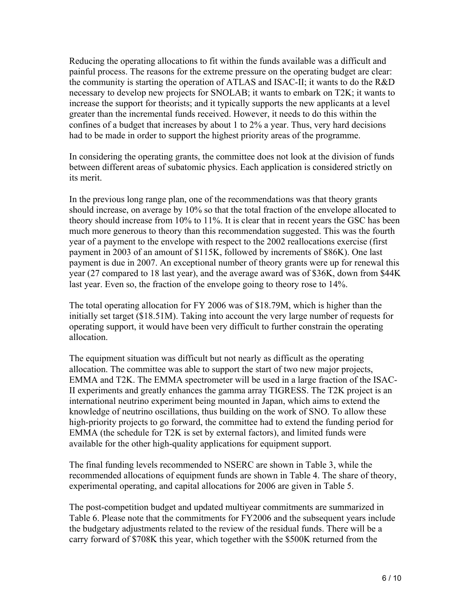Reducing the operating allocations to fit within the funds available was a difficult and painful process. The reasons for the extreme pressure on the operating budget are clear: the community is starting the operation of ATLAS and ISAC-II; it wants to do the R&D necessary to develop new projects for SNOLAB; it wants to embark on T2K; it wants to increase the support for theorists; and it typically supports the new applicants at a level greater than the incremental funds received. However, it needs to do this within the confines of a budget that increases by about 1 to 2% a year. Thus, very hard decisions had to be made in order to support the highest priority areas of the programme.

In considering the operating grants, the committee does not look at the division of funds between different areas of subatomic physics. Each application is considered strictly on its merit.

In the previous long range plan, one of the recommendations was that theory grants should increase, on average by 10% so that the total fraction of the envelope allocated to theory should increase from 10% to 11%. It is clear that in recent years the GSC has been much more generous to theory than this recommendation suggested. This was the fourth year of a payment to the envelope with respect to the 2002 reallocations exercise (first payment in 2003 of an amount of \$115K, followed by increments of \$86K). One last payment is due in 2007. An exceptional number of theory grants were up for renewal this year (27 compared to 18 last year), and the average award was of \$36K, down from \$44K last year. Even so, the fraction of the envelope going to theory rose to 14%.

The total operating allocation for FY 2006 was of \$18.79M, which is higher than the initially set target (\$18.51M). Taking into account the very large number of requests for operating support, it would have been very difficult to further constrain the operating allocation.

The equipment situation was difficult but not nearly as difficult as the operating allocation. The committee was able to support the start of two new major projects, EMMA and T2K. The EMMA spectrometer will be used in a large fraction of the ISAC-II experiments and greatly enhances the gamma array TIGRESS. The T2K project is an international neutrino experiment being mounted in Japan, which aims to extend the knowledge of neutrino oscillations, thus building on the work of SNO. To allow these high-priority projects to go forward, the committee had to extend the funding period for EMMA (the schedule for T2K is set by external factors), and limited funds were available for the other high-quality applications for equipment support.

The final funding levels recommended to NSERC are shown in Table 3, while the recommended allocations of equipment funds are shown in Table 4. The share of theory, experimental operating, and capital allocations for 2006 are given in Table 5.

The post-competition budget and updated multiyear commitments are summarized in Table 6. Please note that the commitments for FY2006 and the subsequent years include the budgetary adjustments related to the review of the residual funds. There will be a carry forward of \$708K this year, which together with the \$500K returned from the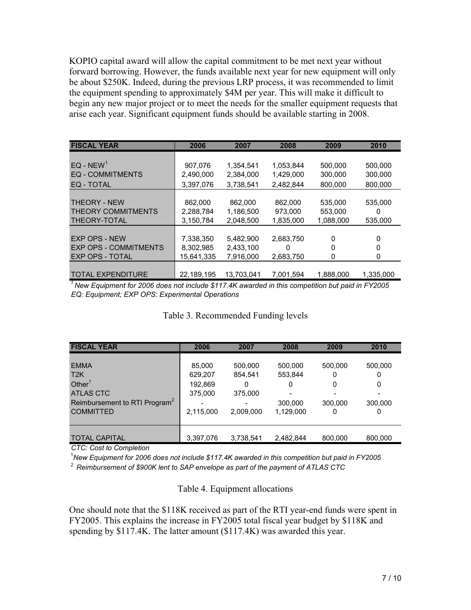KOPIO capital award will allow the capital commitment to be met next year without forward borrowing. However, the funds available next year for new equipment will only be about \$250K. Indeed, during the previous LRP process, it was recommended to limit the equipment spending to approximately \$4M per year. This will make it difficult to begin any new major project or to meet the needs for the smaller equipment requests that arise each year. Significant equipment funds should be available starting in 2008.

| <b>FISCAL YEAR</b>           | 2006       | 2007       | 2008      | 2009      | 2010      |
|------------------------------|------------|------------|-----------|-----------|-----------|
| $EQ - NEW^1$                 | 907,076    | 1,354,541  | 1,053,844 | 500,000   | 500,000   |
| <b>EQ - COMMITMENTS</b>      | 2,490,000  | 2,384,000  | 1,429,000 | 300,000   | 300,000   |
| EQ - TOTAL                   | 3,397,076  | 3,738,541  | 2,482,844 | 800,000   | 800,000   |
|                              |            |            |           |           |           |
| <b>THEORY - NEW</b>          | 862,000    | 862,000    | 862,000   | 535,000   | 535,000   |
| <b>THEORY COMMITMENTS</b>    | 2,288,784  | 1,186,500  | 973,000   | 553,000   | 0         |
| THEORY-TOTAL                 | 3,150,784  | 2,048,500  | 1,835,000 | 1,088,000 | 535,000   |
|                              |            |            |           |           |           |
| <b>EXP OPS - NEW</b>         | 7,338,350  | 5,482,900  | 2,683,750 | 0         | 0         |
| <b>EXP OPS - COMMITMENTS</b> | 8,302,985  | 2,433,100  | 0         | 0         | 0         |
| <b>EXP OPS - TOTAL</b>       | 15,641,335 | 7,916,000  | 2,683,750 | 0         | 0         |
|                              |            |            |           |           |           |
| <b>TOTAL EXPENDITURE</b>     | 22,189,195 | 13,703,041 | 7,001,594 | 1,888,000 | 1,335,000 |

*<sup>1</sup> New Equipment for 2006 does not include \$117.4K awarded in this competition but paid in FY2005 EQ: Equipment; EXP OPS: Experimental Operations*

Table 3. Recommended Funding levels

| <b>FISCAL YEAR</b>                                                                                        | 2006                                    | 2007                               | 2008                               | 2009                         | 2010                         |
|-----------------------------------------------------------------------------------------------------------|-----------------------------------------|------------------------------------|------------------------------------|------------------------------|------------------------------|
| <b>EMMA</b><br>T2K<br>Other <sup>1</sup><br><b>ATLAS CTC</b><br>Reimbursement to RTI Program <sup>2</sup> | 85,000<br>629,207<br>192,869<br>375,000 | 500,000<br>854.541<br>0<br>375,000 | 500,000<br>553,844<br>0<br>300,000 | 500,000<br>0<br>0<br>300.000 | 500,000<br>0<br>0<br>300,000 |
| <b>COMMITTED</b>                                                                                          | 2,115,000                               | 2,009,000                          | 1,129,000                          | 0                            | 0                            |
| <b>TOTAL CAPITAL</b>                                                                                      | 3,397,076                               | 3,738,541                          | 2,482,844                          | 800,000                      | 800,000                      |

*CTC: Cost to Completion*

1 *New Equipment for 2006 does not include \$117.4K awarded in this competition but paid in FY2005*

*<sup>2</sup> Reimbursement of \$900K lent to SAP envelope as part of the payment of ATLAS CTC*

#### Table 4. Equipment allocations

One should note that the \$118K received as part of the RTI year-end funds were spent in FY2005. This explains the increase in FY2005 total fiscal year budget by \$118K and spending by \$117.4K. The latter amount (\$117.4K) was awarded this year.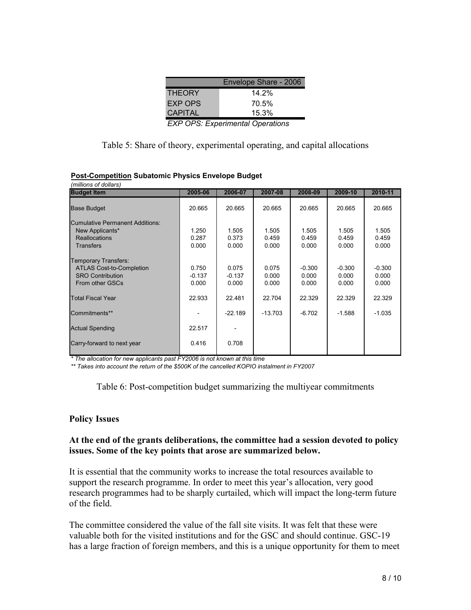|                | Envelope Share - 2006 |
|----------------|-----------------------|
| <b>THEORY</b>  | 14.2%                 |
| EXP OPS        | 70.5%                 |
| <b>CAPITAL</b> | 15.3%                 |
|                |                       |

| <b>EXP OPS: Experimental Operations</b> |  |  |
|-----------------------------------------|--|--|
|-----------------------------------------|--|--|

Table 5: Share of theory, experimental operating, and capital allocations

| <b>Budget Item</b>              | 2005-06  | 2006-07   | 2007-08   | 2008-09  | 2009-10  | 2010-11  |
|---------------------------------|----------|-----------|-----------|----------|----------|----------|
| <b>Base Budget</b>              | 20.665   | 20.665    | 20.665    | 20.665   | 20.665   | 20.665   |
| Cumulative Permanent Additions: |          |           |           |          |          |          |
| New Applicants*                 | 1.250    | 1.505     | 1.505     | 1.505    | 1.505    | 1.505    |
| <b>Reallocations</b>            | 0.287    | 0.373     | 0.459     | 0.459    | 0.459    | 0.459    |
| <b>Transfers</b>                | 0.000    | 0.000     | 0.000     | 0.000    | 0.000    | 0.000    |
| <b>Temporary Transfers:</b>     |          |           |           |          |          |          |
| <b>ATLAS Cost-to-Completion</b> | 0.750    | 0.075     | 0.075     | $-0.300$ | $-0.300$ | $-0.300$ |
| <b>SRO Contribution</b>         | $-0.137$ | $-0.137$  | 0.000     | 0.000    | 0.000    | 0.000    |
| From other GSCs                 | 0.000    | 0.000     | 0.000     | 0.000    | 0.000    | 0.000    |
| <b>Total Fiscal Year</b>        | 22.933   | 22.481    | 22.704    | 22.329   | 22.329   | 22.329   |
| Commitments**                   |          | $-22.189$ | $-13.703$ | $-6.702$ | $-1.588$ | $-1.035$ |
| <b>Actual Spending</b>          | 22.517   |           |           |          |          |          |
| Carry-forward to next year      | 0.416    | 0.708     |           |          |          |          |
|                                 |          |           |           |          |          |          |

#### **Post-Competition Subatomic Physics Envelope Budget**

*\* The allocation for new applicants past FY2006 is not known at this time*

*\*\* Takes into account the return of the \$500K of the cancelled KOPIO instalment in FY2007*

#### Table 6: Post-competition budget summarizing the multiyear commitments

#### **Policy Issues**

#### **At the end of the grants deliberations, the committee had a session devoted to policy issues. Some of the key points that arose are summarized below.**

It is essential that the community works to increase the total resources available to support the research programme. In order to meet this year's allocation, very good research programmes had to be sharply curtailed, which will impact the long-term future of the field.

The committee considered the value of the fall site visits. It was felt that these were valuable both for the visited institutions and for the GSC and should continue. GSC-19 has a large fraction of foreign members, and this is a unique opportunity for them to meet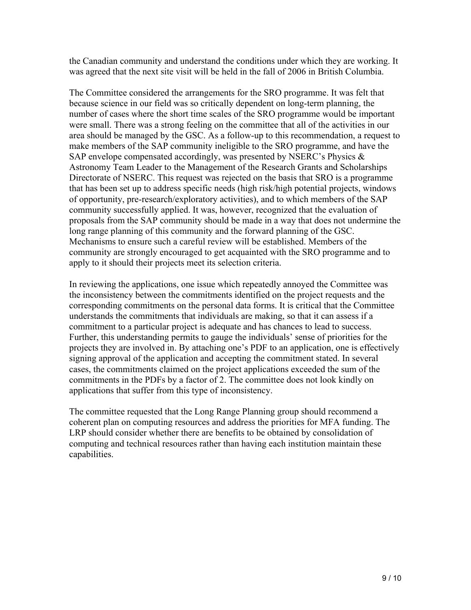the Canadian community and understand the conditions under which they are working. It was agreed that the next site visit will be held in the fall of 2006 in British Columbia.

The Committee considered the arrangements for the SRO programme. It was felt that because science in our field was so critically dependent on long-term planning, the number of cases where the short time scales of the SRO programme would be important were small. There was a strong feeling on the committee that all of the activities in our area should be managed by the GSC. As a follow-up to this recommendation, a request to make members of the SAP community ineligible to the SRO programme, and have the SAP envelope compensated accordingly, was presented by NSERC's Physics & Astronomy Team Leader to the Management of the Research Grants and Scholarships Directorate of NSERC. This request was rejected on the basis that SRO is a programme that has been set up to address specific needs (high risk/high potential projects, windows of opportunity, pre-research/exploratory activities), and to which members of the SAP community successfully applied. It was, however, recognized that the evaluation of proposals from the SAP community should be made in a way that does not undermine the long range planning of this community and the forward planning of the GSC. Mechanisms to ensure such a careful review will be established. Members of the community are strongly encouraged to get acquainted with the SRO programme and to apply to it should their projects meet its selection criteria.

In reviewing the applications, one issue which repeatedly annoyed the Committee was the inconsistency between the commitments identified on the project requests and the corresponding commitments on the personal data forms. It is critical that the Committee understands the commitments that individuals are making, so that it can assess if a commitment to a particular project is adequate and has chances to lead to success. Further, this understanding permits to gauge the individuals' sense of priorities for the projects they are involved in. By attaching one's PDF to an application, one is effectively signing approval of the application and accepting the commitment stated. In several cases, the commitments claimed on the project applications exceeded the sum of the commitments in the PDFs by a factor of 2. The committee does not look kindly on applications that suffer from this type of inconsistency.

The committee requested that the Long Range Planning group should recommend a coherent plan on computing resources and address the priorities for MFA funding. The LRP should consider whether there are benefits to be obtained by consolidation of computing and technical resources rather than having each institution maintain these capabilities.